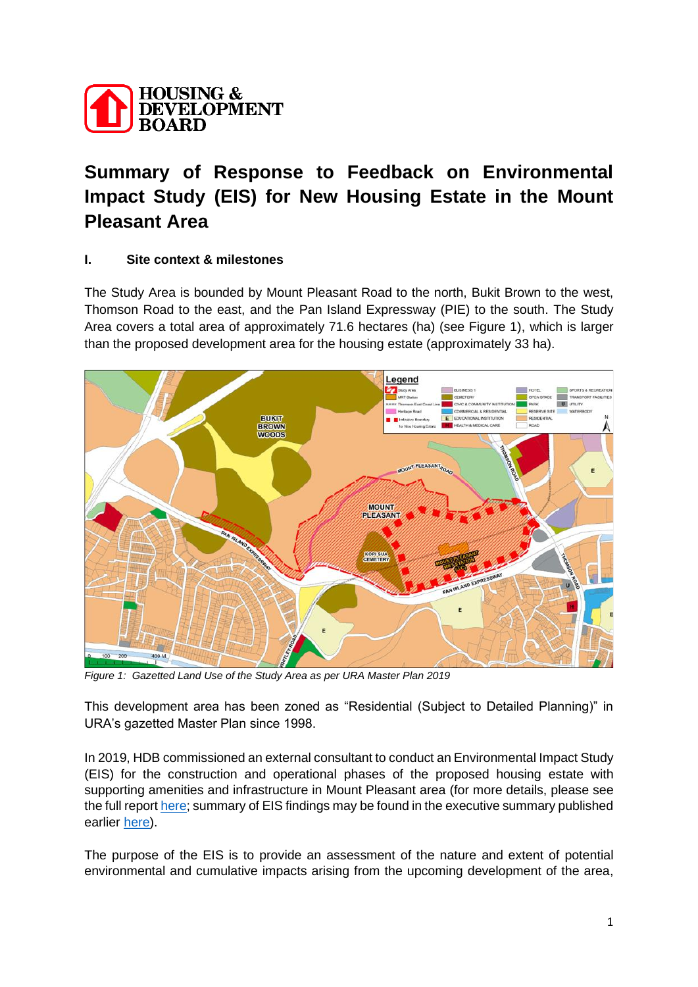

# **Summary of Response to Feedback on Environmental Impact Study (EIS) for New Housing Estate in the Mount Pleasant Area**

## **I. Site context & milestones**

The Study Area is bounded by Mount Pleasant Road to the north, Bukit Brown to the west, Thomson Road to the east, and the Pan Island Expressway (PIE) to the south. The Study Area covers a total area of approximately 71.6 hectares (ha) (see Figure 1), which is larger than the proposed development area for the housing estate (approximately 33 ha).



*Figure 1: Gazetted Land Use of the Study Area as per URA Master Plan 2019*

This development area has been zoned as "Residential (Subject to Detailed Planning)" in URA's gazetted Master Plan since 1998.

In 2019, HDB commissioned an external consultant to conduct an Environmental Impact Study (EIS) for the construction and operational phases of the proposed housing estate with supporting amenities and infrastructure in Mount Pleasant area (for more details, please see the full report [here;](https://www.hdb.gov.sg/cs/infoweb/-/media/doc/RPG/Mount-Pleasant-EIS-Report.pdf) summary of EIS findings may be found in the executive summary published earlier [here\)](https://www.hdb.gov.sg/cs/infoweb/-/media/doc/RPG/Mount-Pleasant-Report-Executive-Summary.pdf).

The purpose of the EIS is to provide an assessment of the nature and extent of potential environmental and cumulative impacts arising from the upcoming development of the area,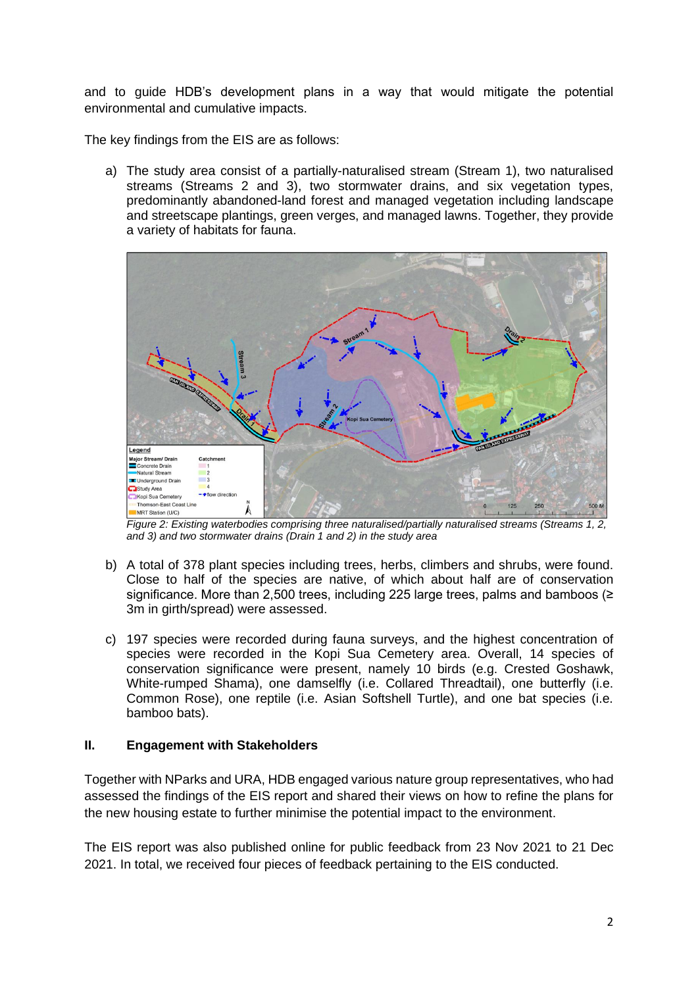and to guide HDB's development plans in a way that would mitigate the potential environmental and cumulative impacts.

The key findings from the EIS are as follows:

a) The study area consist of a partially-naturalised stream (Stream 1), two naturalised streams (Streams 2 and 3), two stormwater drains, and six vegetation types, predominantly abandoned-land forest and managed vegetation including landscape and streetscape plantings, green verges, and managed lawns. Together, they provide a variety of habitats for fauna.



*Figure 2: Existing waterbodies comprising three naturalised/partially naturalised streams (Streams 1, 2, and 3) and two stormwater drains (Drain 1 and 2) in the study area* 

- b) A total of 378 plant species including trees, herbs, climbers and shrubs, were found. Close to half of the species are native, of which about half are of conservation significance. More than 2,500 trees, including 225 large trees, palms and bamboos (≥ 3m in girth/spread) were assessed.
- c) 197 species were recorded during fauna surveys, and the highest concentration of species were recorded in the Kopi Sua Cemetery area. Overall, 14 species of conservation significance were present, namely 10 birds (e.g. Crested Goshawk, White-rumped Shama), one damselfly (i.e. Collared Threadtail), one butterfly (i.e. Common Rose), one reptile (i.e. Asian Softshell Turtle), and one bat species (i.e. bamboo bats).

### **II. Engagement with Stakeholders**

Together with NParks and URA, HDB engaged various nature group representatives, who had assessed the findings of the EIS report and shared their views on how to refine the plans for the new housing estate to further minimise the potential impact to the environment.

The EIS report was also published online for public feedback from 23 Nov 2021 to 21 Dec 2021. In total, we received four pieces of feedback pertaining to the EIS conducted.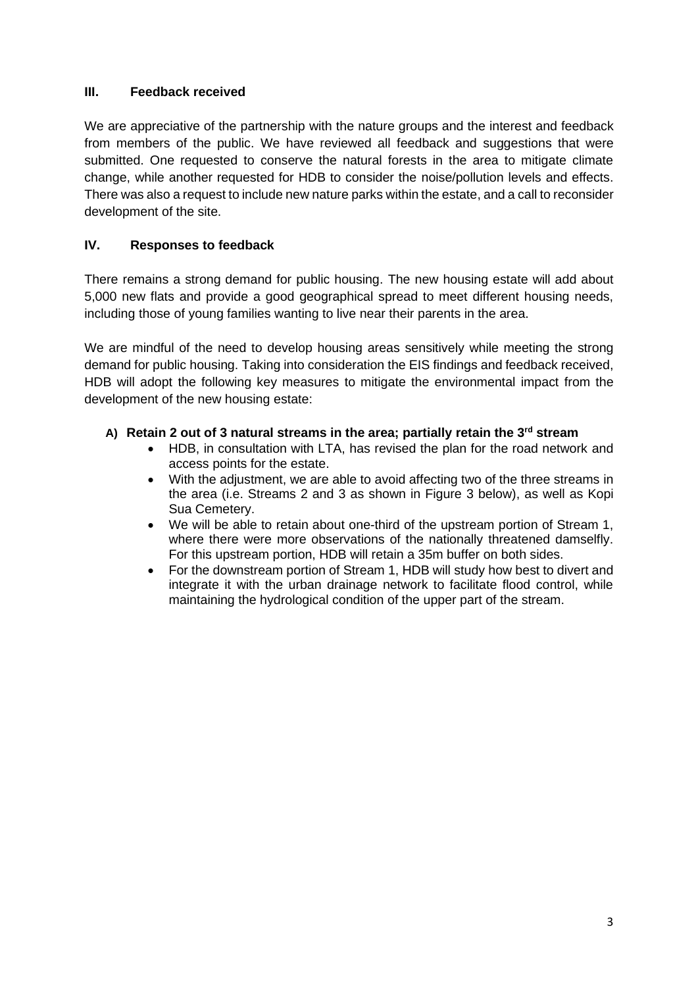## **III. Feedback received**

We are appreciative of the partnership with the nature groups and the interest and feedback from members of the public. We have reviewed all feedback and suggestions that were submitted. One requested to conserve the natural forests in the area to mitigate climate change, while another requested for HDB to consider the noise/pollution levels and effects. There was also a request to include new nature parks within the estate, and a call to reconsider development of the site.

## **IV. Responses to feedback**

There remains a strong demand for public housing. The new housing estate will add about 5,000 new flats and provide a good geographical spread to meet different housing needs, including those of young families wanting to live near their parents in the area.

We are mindful of the need to develop housing areas sensitively while meeting the strong demand for public housing. Taking into consideration the EIS findings and feedback received, HDB will adopt the following key measures to mitigate the environmental impact from the development of the new housing estate:

## **A) Retain 2 out of 3 natural streams in the area; partially retain the 3rd stream**

- HDB, in consultation with LTA, has revised the plan for the road network and access points for the estate.
- With the adjustment, we are able to avoid affecting two of the three streams in the area (i.e. Streams 2 and 3 as shown in Figure 3 below), as well as Kopi Sua Cemetery.
- We will be able to retain about one-third of the upstream portion of Stream 1, where there were more observations of the nationally threatened damselfly. For this upstream portion, HDB will retain a 35m buffer on both sides.
- For the downstream portion of Stream 1, HDB will study how best to divert and integrate it with the urban drainage network to facilitate flood control, while maintaining the hydrological condition of the upper part of the stream.